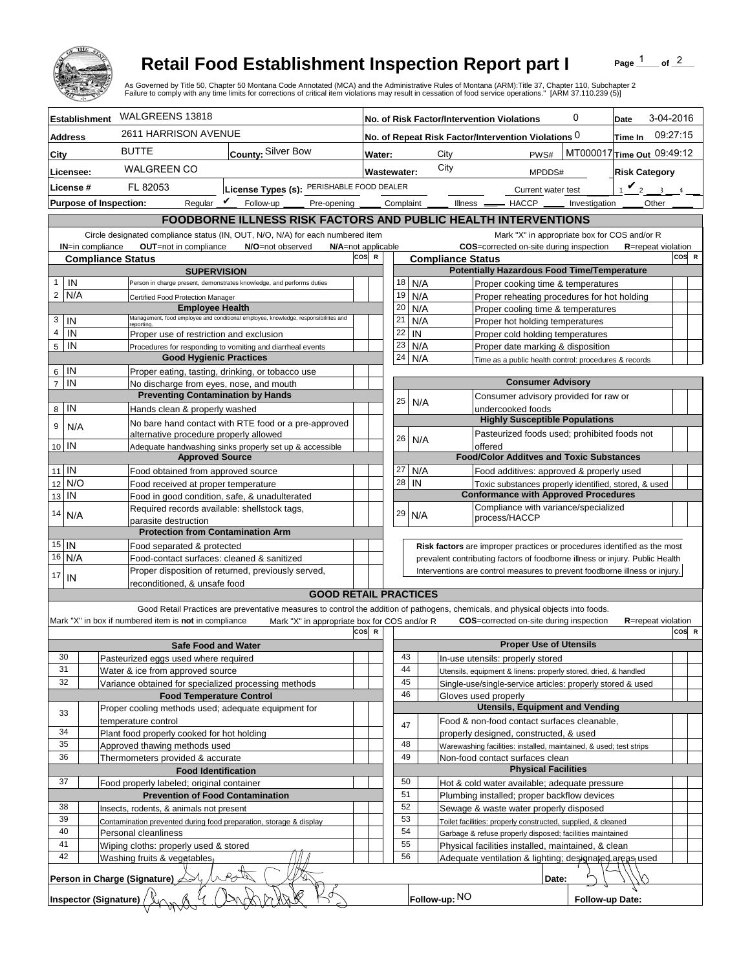

## **Retail Food Establishment Inspection Report part I**

Page  $\frac{1}{1}$  of  $\frac{2}{1}$ 

|                                         |                                                                                             | <b>Retail Food Establishment Inspection Report part I</b><br>As Governed by Title 50, Chapter 50 Montana Code Annotated (MCA) and the Administrative Rules of Montana (ARM):Title 37, Chapter 110, Subchapter 2 |                     |                                                                                         |                                                                                                                 |                                                                                                       |                 | Page                       | of $2$   |  |
|-----------------------------------------|---------------------------------------------------------------------------------------------|-----------------------------------------------------------------------------------------------------------------------------------------------------------------------------------------------------------------|---------------------|-----------------------------------------------------------------------------------------|-----------------------------------------------------------------------------------------------------------------|-------------------------------------------------------------------------------------------------------|-----------------|----------------------------|----------|--|
|                                         |                                                                                             | Failure to comply with any time limits for corrections of critical item violations may result in cessation of food service operations." [ARM 37.110.239 (5)]                                                    |                     |                                                                                         |                                                                                                                 |                                                                                                       |                 |                            |          |  |
| <b>Establishment</b>                    | WALGREENS 13818                                                                             |                                                                                                                                                                                                                 |                     | 0<br>No. of Risk Factor/Intervention Violations                                         |                                                                                                                 |                                                                                                       |                 | 3-04-2016<br>Date          |          |  |
| <b>Address</b>                          | 2611 HARRISON AVENUE                                                                        |                                                                                                                                                                                                                 |                     | No. of Repeat Risk Factor/Intervention Violations 0<br>Time In                          |                                                                                                                 |                                                                                                       |                 |                            | 09:27:15 |  |
| City                                    | <b>BUTTE</b>                                                                                | County: Silver Bow                                                                                                                                                                                              |                     |                                                                                         | City                                                                                                            | PWS#                                                                                                  |                 | MT000017 Time Out 09:49:12 |          |  |
| Licensee:                               | <b>WALGREEN CO</b>                                                                          |                                                                                                                                                                                                                 | <b>Wastewater:</b>  |                                                                                         | City                                                                                                            | MPDDS#                                                                                                |                 | <b>Risk Category</b>       |          |  |
| License #                               | FL 82053                                                                                    | License Types (s): PERISHABLE FOOD DEALER                                                                                                                                                                       |                     |                                                                                         |                                                                                                                 | Current water test                                                                                    |                 | $\mathbf{v}_2$<br>$\sim$   |          |  |
| <b>Purpose of Inspection:</b>           | Regular $\mathbf{\underline{\mathit{v}}}$                                                   | Follow-up _<br>Pre-opening _                                                                                                                                                                                    | Complaint           |                                                                                         | Illness —                                                                                                       | $-$ HACCP $\_\_$                                                                                      | Investigation   | Other                      |          |  |
|                                         |                                                                                             | <b>FOODBORNE ILLNESS RISK FACTORS AND PUBLIC HEALTH INTERVENTIONS</b>                                                                                                                                           |                     |                                                                                         |                                                                                                                 |                                                                                                       |                 |                            |          |  |
|                                         |                                                                                             | Circle designated compliance status (IN, OUT, N/O, N/A) for each numbered item                                                                                                                                  |                     |                                                                                         |                                                                                                                 | Mark "X" in appropriate box for COS and/or R                                                          |                 |                            |          |  |
| <b>IN=in compliance</b>                 | OUT=not in compliance                                                                       | N/O=not observed                                                                                                                                                                                                | N/A=not applicable  |                                                                                         |                                                                                                                 | COS=corrected on-site during inspection                                                               |                 | <b>R</b> =repeat violation |          |  |
| <b>Compliance Status</b>                |                                                                                             |                                                                                                                                                                                                                 | cos<br>$\mathbb{R}$ | COS R<br><b>Compliance Status</b><br><b>Potentially Hazardous Food Time/Temperature</b> |                                                                                                                 |                                                                                                       |                 |                            |          |  |
| IN<br>$\mathbf{1}$                      | <b>SUPERVISION</b><br>Person in charge present, demonstrates knowledge, and performs duties |                                                                                                                                                                                                                 |                     |                                                                                         |                                                                                                                 |                                                                                                       |                 |                            |          |  |
| $\overline{2}$<br>N/A                   |                                                                                             |                                                                                                                                                                                                                 |                     | 18<br>N/A<br>19<br>N/A                                                                  |                                                                                                                 | Proper cooking time & temperatures<br>Proper reheating procedures for hot holding                     |                 |                            |          |  |
|                                         |                                                                                             | Certified Food Protection Manager<br><b>Employee Health</b>                                                                                                                                                     |                     |                                                                                         | N/A                                                                                                             | Proper cooling time & temperatures                                                                    |                 |                            |          |  |
| 3<br>IN                                 | reportina.                                                                                  | Management, food employee and conditional employee, knowledge, responsibiliites and                                                                                                                             | 21                  |                                                                                         | N/A                                                                                                             | Proper hot holding temperatures                                                                       |                 |                            |          |  |
| $\overline{4}$<br>IN                    | Proper use of restriction and exclusion                                                     |                                                                                                                                                                                                                 |                     | 22<br>IN<br>Proper cold holding temperatures                                            |                                                                                                                 |                                                                                                       |                 |                            |          |  |
| 5<br>IN                                 |                                                                                             | Procedures for responding to vomiting and diarrheal events                                                                                                                                                      | 23                  |                                                                                         | N/A                                                                                                             | Proper date marking & disposition                                                                     |                 |                            |          |  |
| IN                                      | <b>Good Hygienic Practices</b>                                                              |                                                                                                                                                                                                                 | 24                  |                                                                                         | N/A                                                                                                             | Time as a public health control: procedures & records                                                 |                 |                            |          |  |
| 6<br>IN<br>$\overline{7}$               | Proper eating, tasting, drinking, or tobacco use<br>No discharge from eyes, nose, and mouth |                                                                                                                                                                                                                 |                     |                                                                                         |                                                                                                                 | <b>Consumer Advisory</b>                                                                              |                 |                            |          |  |
|                                         | <b>Preventing Contamination by Hands</b>                                                    |                                                                                                                                                                                                                 |                     |                                                                                         |                                                                                                                 | Consumer advisory provided for raw or                                                                 |                 |                            |          |  |
| IN<br>8                                 | Hands clean & properly washed                                                               |                                                                                                                                                                                                                 | 25                  |                                                                                         | N/A                                                                                                             | undercooked foods                                                                                     |                 |                            |          |  |
| 9<br>N/A                                | alternative procedure properly allowed                                                      | No bare hand contact with RTE food or a pre-approved                                                                                                                                                            |                     |                                                                                         |                                                                                                                 | <b>Highly Susceptible Populations</b><br>Pasteurized foods used; prohibited foods not                 |                 |                            |          |  |
| 10 IN                                   |                                                                                             | Adequate handwashing sinks properly set up & accessible                                                                                                                                                         | 26                  |                                                                                         | N/A                                                                                                             | offered                                                                                               |                 |                            |          |  |
|                                         | <b>Approved Source</b>                                                                      |                                                                                                                                                                                                                 |                     |                                                                                         |                                                                                                                 | <b>Food/Color Additves and Toxic Substances</b>                                                       |                 |                            |          |  |
| $11$ IN                                 | Food obtained from approved source                                                          |                                                                                                                                                                                                                 | 27                  |                                                                                         | N/A                                                                                                             | Food additives: approved & properly used                                                              |                 |                            |          |  |
| N/O<br>12                               | Food received at proper temperature                                                         |                                                                                                                                                                                                                 | 28                  | IN                                                                                      |                                                                                                                 | Toxic substances properly identified, stored, & used                                                  |                 |                            |          |  |
| IN<br>13                                | Food in good condition, safe, & unadulterated                                               |                                                                                                                                                                                                                 |                     |                                                                                         |                                                                                                                 | <b>Conformance with Approved Procedures</b><br>Compliance with variance/specialized                   |                 |                            |          |  |
| 14<br>N/A                               | Required records available: shellstock tags,<br>parasite destruction                        |                                                                                                                                                                                                                 | 29                  |                                                                                         | N/A                                                                                                             | process/HACCP                                                                                         |                 |                            |          |  |
|                                         | <b>Protection from Contamination Arm</b>                                                    |                                                                                                                                                                                                                 |                     |                                                                                         |                                                                                                                 |                                                                                                       |                 |                            |          |  |
| $15$   IN                               | Food separated & protected                                                                  |                                                                                                                                                                                                                 |                     |                                                                                         |                                                                                                                 | Risk factors are improper practices or procedures identified as the most                              |                 |                            |          |  |
|                                         | 16 N/A<br>Food-contact surfaces: cleaned & sanitized                                        |                                                                                                                                                                                                                 |                     |                                                                                         |                                                                                                                 | prevalent contributing factors of foodborne illness or injury. Public Health                          |                 |                            |          |  |
| 17<br>IN                                |                                                                                             | Proper disposition of returned, previously served,                                                                                                                                                              |                     |                                                                                         |                                                                                                                 | Interventions are control measures to prevent foodborne illness or injury.                            |                 |                            |          |  |
|                                         | reconditioned. & unsafe food                                                                | <b>GOOD RETAIL PRACTICES</b>                                                                                                                                                                                    |                     |                                                                                         |                                                                                                                 |                                                                                                       |                 |                            |          |  |
|                                         |                                                                                             | Good Retail Practices are preventative measures to control the addition of pathogens, chemicals, and physical objects into foods.                                                                               |                     |                                                                                         |                                                                                                                 |                                                                                                       |                 |                            |          |  |
|                                         | Mark "X" in box if numbered item is not in compliance                                       | Mark "X" in appropriate box for COS and/or R                                                                                                                                                                    |                     |                                                                                         |                                                                                                                 | <b>COS</b> =corrected on-site during inspection                                                       |                 | <b>R</b> =repeat violation |          |  |
|                                         |                                                                                             |                                                                                                                                                                                                                 | cos<br><b>R</b>     |                                                                                         |                                                                                                                 |                                                                                                       |                 |                            | COS R    |  |
| 30                                      | <b>Safe Food and Water</b>                                                                  |                                                                                                                                                                                                                 |                     | 43                                                                                      |                                                                                                                 | <b>Proper Use of Utensils</b>                                                                         |                 |                            |          |  |
| 31                                      | Pasteurized eggs used where required<br>Water & ice from approved source                    |                                                                                                                                                                                                                 |                     | 44                                                                                      |                                                                                                                 | In-use utensils: properly stored<br>Utensils, equipment & linens: properly stored, dried, & handled   |                 |                            |          |  |
| 32                                      | Variance obtained for specialized processing methods                                        |                                                                                                                                                                                                                 |                     | 45                                                                                      |                                                                                                                 | Single-use/single-service articles: properly stored & used                                            |                 |                            |          |  |
|                                         | <b>Food Temperature Control</b>                                                             |                                                                                                                                                                                                                 |                     | 46                                                                                      |                                                                                                                 | Gloves used properly                                                                                  |                 |                            |          |  |
| 33                                      | Proper cooling methods used; adequate equipment for                                         |                                                                                                                                                                                                                 |                     |                                                                                         |                                                                                                                 | <b>Utensils, Equipment and Vending</b>                                                                |                 |                            |          |  |
|                                         | temperature control                                                                         |                                                                                                                                                                                                                 | 47                  |                                                                                         |                                                                                                                 | Food & non-food contact surfaces cleanable,                                                           |                 |                            |          |  |
| 34<br>35                                | Plant food properly cooked for hot holding                                                  |                                                                                                                                                                                                                 |                     | 48                                                                                      |                                                                                                                 | properly designed, constructed, & used                                                                |                 |                            |          |  |
| 36                                      | Approved thawing methods used<br>Thermometers provided & accurate                           |                                                                                                                                                                                                                 |                     | 49                                                                                      |                                                                                                                 | Warewashing facilities: installed, maintained, & used; test strips<br>Non-food contact surfaces clean |                 |                            |          |  |
|                                         | <b>Food Identification</b>                                                                  |                                                                                                                                                                                                                 |                     |                                                                                         |                                                                                                                 | <b>Physical Facilities</b>                                                                            |                 |                            |          |  |
| 37                                      | Food properly labeled; original container                                                   |                                                                                                                                                                                                                 | 50                  |                                                                                         |                                                                                                                 | Hot & cold water available; adequate pressure                                                         |                 |                            |          |  |
| <b>Prevention of Food Contamination</b> |                                                                                             |                                                                                                                                                                                                                 | 51                  |                                                                                         |                                                                                                                 | Plumbing installed; proper backflow devices                                                           |                 |                            |          |  |
| 38                                      | Insects, rodents, & animals not present                                                     |                                                                                                                                                                                                                 |                     | 52                                                                                      |                                                                                                                 | Sewage & waste water properly disposed                                                                |                 |                            |          |  |
| 39<br>40                                | Contamination prevented during food preparation, storage & display                          |                                                                                                                                                                                                                 |                     | 53<br>54                                                                                |                                                                                                                 | Toilet facilities: properly constructed, supplied, & cleaned                                          |                 |                            |          |  |
| 41                                      | Personal cleanliness                                                                        |                                                                                                                                                                                                                 | 55                  |                                                                                         | Garbage & refuse properly disposed; facilities maintained<br>Physical facilities installed, maintained, & clean |                                                                                                       |                 |                            |          |  |
| 42                                      | Wiping cloths: properly used & stored<br>Washing fruits & vegetables,                       |                                                                                                                                                                                                                 |                     | 56                                                                                      |                                                                                                                 | Adequate ventilation & lighting; designated areas used                                                |                 |                            |          |  |
|                                         | Person in Charge (Signature)                                                                | 72<br>${\mathcal{A}}$                                                                                                                                                                                           |                     |                                                                                         |                                                                                                                 | Date:                                                                                                 |                 |                            |          |  |
| <b>Inspector (Signature)</b>            |                                                                                             |                                                                                                                                                                                                                 |                     |                                                                                         | Follow-up: NO                                                                                                   |                                                                                                       | Follow-up Date: |                            |          |  |
|                                         |                                                                                             |                                                                                                                                                                                                                 |                     |                                                                                         |                                                                                                                 |                                                                                                       |                 |                            |          |  |